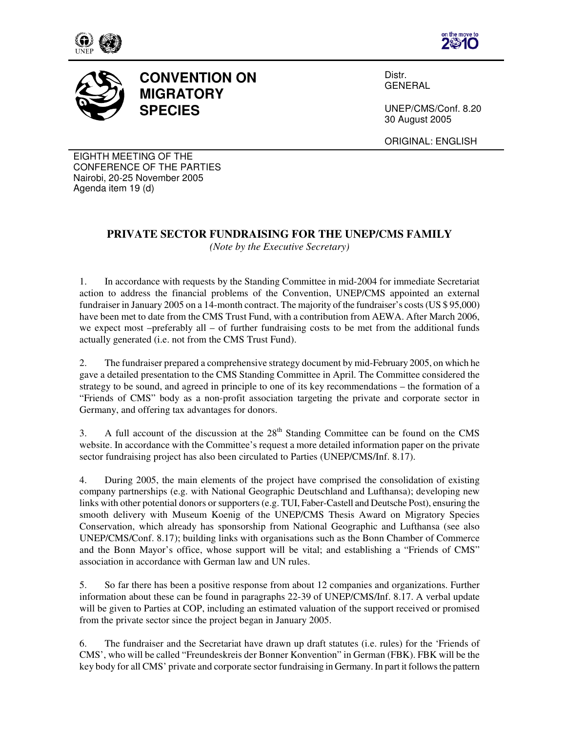





## **CONVENTION ON MIGRATORY SPECIES**

Distr. GENERAL

UNEP/CMS/Conf. 8.20 30 August 2005

ORIGINAL: ENGLISH

EIGHTH MEETING OF THE CONFERENCE OF THE PARTIES Nairobi, 20-25 November 2005 Agenda item 19 (d)

## **PRIVATE SECTOR FUNDRAISING FOR THE UNEP/CMS FAMILY**

*(Note by the Executive Secretary)* 

1. In accordance with requests by the Standing Committee in mid-2004 for immediate Secretariat action to address the financial problems of the Convention, UNEP/CMS appointed an external fundraiser in January 2005 on a 14-month contract. The majority of the fundraiser's costs (US \$ 95,000) have been met to date from the CMS Trust Fund, with a contribution from AEWA. After March 2006, we expect most –preferably all – of further fundraising costs to be met from the additional funds actually generated (i.e. not from the CMS Trust Fund).

2. The fundraiser prepared a comprehensive strategy document by mid-February 2005, on which he gave a detailed presentation to the CMS Standing Committee in April. The Committee considered the strategy to be sound, and agreed in principle to one of its key recommendations – the formation of a "Friends of CMS" body as a non-profit association targeting the private and corporate sector in Germany, and offering tax advantages for donors.

3. A full account of the discussion at the  $28<sup>th</sup>$  Standing Committee can be found on the CMS website. In accordance with the Committee's request a more detailed information paper on the private sector fundraising project has also been circulated to Parties (UNEP/CMS/Inf. 8.17).

4. During 2005, the main elements of the project have comprised the consolidation of existing company partnerships (e.g. with National Geographic Deutschland and Lufthansa); developing new links with other potential donors or supporters (e.g. TUI, Faber-Castell and Deutsche Post), ensuring the smooth delivery with Museum Koenig of the UNEP/CMS Thesis Award on Migratory Species Conservation, which already has sponsorship from National Geographic and Lufthansa (see also UNEP/CMS/Conf. 8.17); building links with organisations such as the Bonn Chamber of Commerce and the Bonn Mayor's office, whose support will be vital; and establishing a "Friends of CMS" association in accordance with German law and UN rules.

5. So far there has been a positive response from about 12 companies and organizations. Further information about these can be found in paragraphs 22-39 of UNEP/CMS/Inf. 8.17. A verbal update will be given to Parties at COP, including an estimated valuation of the support received or promised from the private sector since the project began in January 2005.

6. The fundraiser and the Secretariat have drawn up draft statutes (i.e. rules) for the 'Friends of CMS', who will be called "Freundeskreis der Bonner Konvention" in German (FBK). FBK will be the key body for all CMS' private and corporate sector fundraising in Germany. In part it follows the pattern